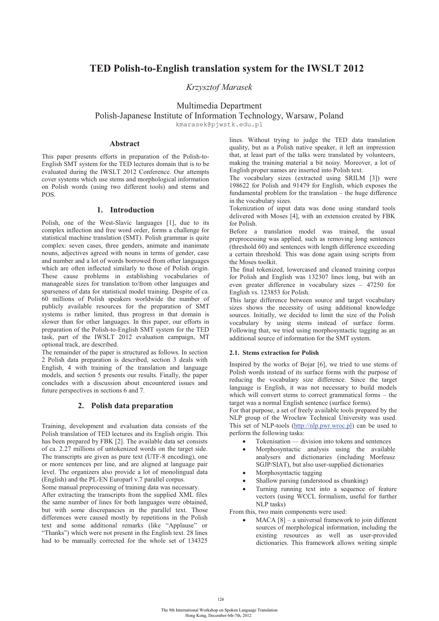# **TED Polish-to-English translation system for the IWSLT 2012**

*Krzysztof Marasek* 

Multimedia Department

Polish-Japanese Institute of Information Technology, Warsaw, Poland

kmarasek@pjwstk.edu.pl

# **Abstract**

This paper presents efforts in preparation of the Polish-to-English SMT system for the TED lectures domain that is to be evaluated during the IWSLT 2012 Conference. Our attempts cover systems which use stems and morphological information on Polish words (using two different tools) and stems and POS.

# **1. Introduction**

Polish, one of the West-Slavic languages [1], due to its complex inflection and free word order, forms a challenge for statistical machine translation (SMT). Polish grammar is quite complex: seven cases, three genders, animate and inanimate nouns, adjectives agreed with nouns in terms of gender, case and number and a lot of words borrowed from other languages which are often inflected similarly to those of Polish origin. These cause problems in establishing vocabularies of manageable sizes for translation to/from other languages and sparseness of data for statistical model training. Despite of ca. 60 millions of Polish speakers worldwide the number of publicly available resources for the preparation of SMT systems is rather limited, thus progress in that domain is slower than for other languages. In this paper, our efforts in preparation of the Polish-to-English SMT system for the TED task, part of the IWSLT 2012 evaluation campaign, MT optional track, are described.

The remainder of the paper is structured as follows. In section 2 Polish data preparation is described, section 3 deals with English, 4 with training of the translation and language models, and section 5 presents our results. Finally, the paper concludes with a discussion about encountered issues and future perspectives in sections 6 and 7.

# **2. Polish data preparation**

Training, development and evaluation data consists of the Polish translation of TED lectures and its English origin. This has been prepared by FBK [2]. The available data set consists of ca. 2.27 millions of untokenized words on the target side. The transcripts are given as pure text (UTF-8 encoding), one or more sentences per line, and are aligned at language pair level. The organizers also provide a lot of monolingual data (English) and the PL-EN Europarl v.7 parallel corpus.

Some manual preprocessing of training data was necessary.

After extracting the transcripts from the supplied XML files the same number of lines for both languages were obtained, but with some discrepancies in the parallel text. Those differences were caused mostly by repetitions in the Polish text and some additional remarks (like "Applause" or "Thanks") which were not present in the English text. 28 lines had to be manually corrected for the whole set of 134325

lines. Without trying to judge the TED data translation quality, but as a Polish native speaker, it left an impression that, at least part of the talks were translated by volunteers, making the training material a bit noisy. Moreover, a lot of English proper names are inserted into Polish text.

The vocabulary sizes (extracted using SRILM [3]) were 198622 for Polish and 91479 for English, which exposes the fundamental problem for the translation – the huge difference in the vocabulary sizes.

Tokenization of input data was done using standard tools delivered with Moses [4], with an extension created by FBK for Polish.

Before a translation model was trained, the usual preprocessing was applied, such as removing long sentences (threshold 60) and sentences with length difference exceeding a certain threshold. This was done again using scripts from the Moses toolkit.

The final tokenized, lowercased and cleaned training corpus for Polish and English was 132307 lines long, but with an even greater difference in vocabulary sizes – 47250 for English vs. 123853 for Polish.

This large difference between source and target vocabulary sizes shows the necessity of using additional knowledge sources. Initially, we decided to limit the size of the Polish vocabulary by using stems instead of surface forms. Following that, we tried using morphosyntactic tagging as an additional source of information for the SMT system.

## **2.1. Stems extraction for Polish**

Inspired by the works of Bojar [6], we tried to use stems of Polish words instead of its surface forms with the purpose of reducing the vocabulary size difference. Since the target language is English, it was not necessary to build models which will convert stems to correct grammatical forms – the target was a normal English sentence (surface forms).

For that purpose, a set of freely available tools prepared by the NLP group of the Wrocław Technical University was used. This set of NLP-tools (http://nlp.pwr.wroc.pl) can be used to perform the following tasks:

- -Tokenisation — division into tokens and sentences
- - Morphosyntactic analysis using the available analysers and dictionaries (including Morfeusz SGJP/SIAT), but also user-supplied dictionaries
- $\bullet$ Morphosyntactic tagging
- -Shallow parsing (understood as chunking)
- - Turning running text into a sequence of feature vectors (using WCCL formalism, useful for further NLP tasks)

From this, two main components were used:

-MACA [8] – a universal framework to join different sources of morphological information, including the existing resources as well as user-provided dictionaries. This framework allows writing simple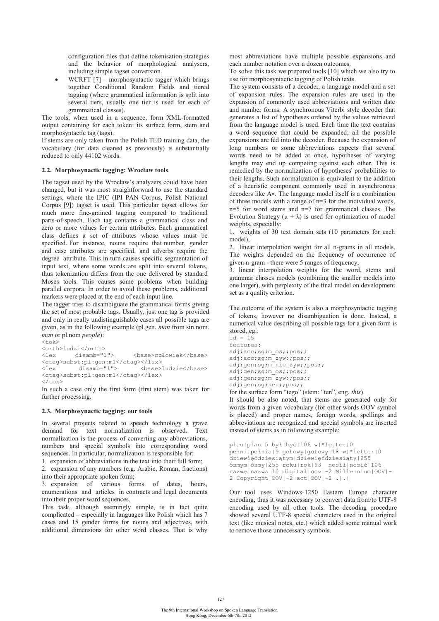configuration files that define tokenisation strategies and the behavior of morphological analysers, including simple tagset conversion.

-WCRFT [7] – morphosyntactic tagger which brings together Conditional Random Fields and tiered tagging (where grammatical information is split into several tiers, usually one tier is used for each of grammatical classes).

The tools, when used in a sequence, form XML-formatted output containing for each token: its surface form, stem and morphosyntactic tag (tags).

If stems are only taken from the Polish TED training data, the vocabulary (for data cleaned as previously) is substantially reduced to only 44102 words.

### **2.2. Morphosynactic tagging: Wrocław tools**

The tagset used by the Wrocław's analyzers could have been changed, but it was most straightforward to use the standard settings, where the IPIC (IPI PAN Corpus, Polish National Corpus [9]) tagset is used. This particular tagset allows for much more fine-grained tagging compared to traditional parts-of-speech. Each tag contains a grammatical class and zero or more values for certain attributes. Each grammatical class defines a set of attributes whose values must be specified. For instance, nouns require that number, gender and case attributes are specified, and adverbs require the degree attribute. This in turn causes specific segmentation of input text, where some words are split into several tokens, thus tokenization differs from the one delivered by standard Moses tools. This causes some problems when building parallel corpora. In order to avoid these problems, additional markers were placed at the end of each input line.

The tagger tries to disambiguate the grammatical forms giving the set of most probable tags. Usually, just one tag is provided and only in really undistinguishable cases all possible tags are given, as in the following example (pl.gen. *man* from sin.nom. *man* or pl.nom *people*):

```
<\uparrowok>
<orth>ludzi</orth><br><lex disamb="1">
<lex disamb="1"> <base>człowiek</base> 
<ctag>subst:pl:gen:m1</ctag></lex><lex disamb="1"> <br/>
                                     <br />
kbase>ludzie</base>
<ctag>subst:pl:gen:m1</ctag></lex> 
\langle/tok>
```
In such a case only the first form (first stem) was taken for further processing.

#### **2.3. Morphosynactic tagging: our tools**

In several projects related to speech technology a grave demand for text normalization is observed. Text normalization is the process of converting any abbreviations, numbers and special symbols into corresponding word sequences. In particular, normalization is responsible for:

1. expansion of abbreviations in the text into their full form;

2. expansion of any numbers (e.g. Arabic, Roman, fractions) into their appropriate spoken form;

3. expansion of various forms of dates, hours, enumerations and articles in contracts and legal documents into their proper word sequences.

This task, although seemingly simple, is in fact quite complicated – especially in languages like Polish which has 7 cases and 15 gender forms for nouns and adjectives, with additional dimensions for other word classes. That is why

most abbreviations have multiple possible expansions and each number notation over a dozen outcomes.

To solve this task we prepared tools [10] which we also try to use for morphosyntactic tagging of Polish texts.

The system consists of a decoder, a language model and a set of expansion rules. The expansion rules are used in the expansion of commonly used abbreviations and written date and number forms. A synchronous Viterbi style decoder that generates a list of hypotheses ordered by the values retrieved from the language model is used. Each time the text contains a word sequence that could be expanded; all the possible expansions are fed into the decoder. Because the expansion of long numbers or some abbreviations expects that several words need to be added at once, hypotheses of varying lengths may end up competing against each other. This is remedied by the normalization of hypotheses' probabilities to their lengths. Such normalization is equivalent to the addition of a heuristic component commonly used in asynchronous decoders like A\*. The language model itself is a combination of three models with a range of n=3 for the individual words, n=5 for word stems and n=7 for grammatical classes. The Evolution Strategy  $(\mu + \lambda)$  is used for optimization of model weights, especially:

1. weights of 30 text domain sets (10 parameters for each model),

2. linear interpolation weight for all n-grams in all models. The weights depended on the frequency of occurrence of given n-gram - there were 5 ranges of frequency,

3. linear interpolation weights for the word, stems and grammar classes models (combining the smaller models into one larger), with perplexity of the final model on development set as a quality criterion.

The outcome of the system is also a morphosyntactic tagging of tokens, however no disambiguation is done. Instead, a numerical value describing all possible tags for a given form is stored, eg.:

```
id = 15features: 
adj;acc;sg;m_os;;pos;;
adj;acc;sg;m_zyw;;pos;;
adj;gen;sg;m_nie_zyw;;pos;;
adj;gen;sg;m os;;pos;;
adj;gen;sg;m_zyw;;pos;; 
adj;gen;sg;neu;;pos;;
```
for the surface form "tego" (stem: "ten", eng. *this*).

It should be also noted, that stems are generated only for words from a given vocabulary (for other words OOV symbol is placed) and proper names, foreign words, spellings and abbreviations are recognized and special symbols are inserted instead of stems as in following example:

```
plan|plan|5 był|być|106 w|*letter|0 
pełni|pełnia|9 gotowy|gotowy|18 w|*letter|0 
dziewięćdziesiątym|dziewięćdziesiąty|255 
ósmym|ósmy|255 roku|rok|93 nosił|nosić|106 
nazwę|nazwa|10 digital|oov|-2 Millennium|OOV|-
2 Copyright|OOV|-2 act|OOV|-2 .|.|
```
Our tool uses Windows-1250 Eastern Europe character encoding, thus it was necessary to convert data from/to UTF-8 encoding used by all other tools. The decoding procedure showed several UTF-8 special characters used in the original text (like musical notes, etc.) which added some manual work to remove those unnecessary symbols.

127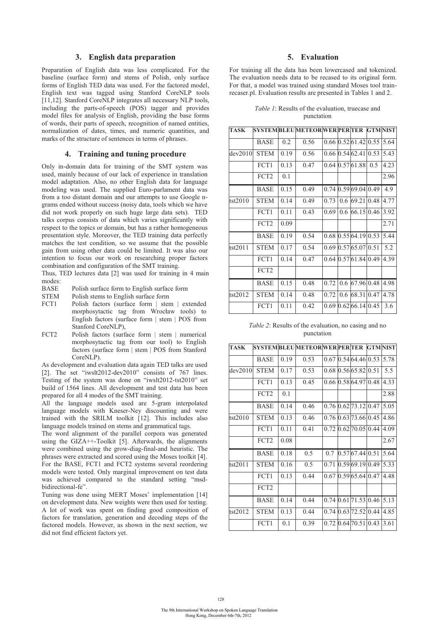## **3. English data preparation**

Preparation of English data was less complicated. For the baseline (surface form) and stems of Polish, only surface forms of English TED data was used. For the factored model, English text was tagged using Stanford CoreNLP tools [11,12]. Stanford CoreNLP integrates all necessary NLP tools, including the parts-of-speech (POS) tagger and provides model files for analysis of English, providing the base forms of words, their parts of speech, recognition of named entities, normalization of dates, times, and numeric quantities, and marks of the structure of sentences in terms of phrases.

# **4. Training and tuning procedure**

Only in-domain data for training of the SMT system was used, mainly because of our lack of experience in translation model adaptation. Also, no other English data for language modeling was used. The supplied Euro-parlament data was from a too distant domain and our attempts to use Google ngrams ended without success (noisy data, tools which we have did not work properly on such huge large data sets). TED talks corpus consists of data which varies significantly with respect to the topics or domain, but has a rather homogeneous presentation style. Moreover, the TED training data perfectly matches the test condition, so we assume that the possible gain from using other data could be limited. It was also our intention to focus our work on researching proper factors combination and configuration of the SMT training.

Thus, TED lectures data [2] was used for training in 4 main modes:<br>BASE

- Polish surface form to English surface form
- STEM Polish stems to English surface form
- FCT1 Polish factors (surface form | stem | extended morphosytactic tag from Wrocław tools) to English factors (surface form | stem | POS from Stanford CoreNLP),
- FCT2 Polish factors (surface form | stem | numerical morphosytactic tag from our tool) to English factors (surface form | stem | POS from Stanford CoreNLP).

As development and evaluation data again TED talks are used [2]. The set "iwslt2012-dev2010" consists of 767 lines. Testing of the system was done on "iwslt2012-tst2010" set build of 1564 lines. All development and test data has been prepared for all 4 modes of the SMT training.

All the language models used are 5-gram interpolated language models with Kneser-Ney discounting and were trained with the SRILM toolkit [12]. This includes also language models trained on stems and grammatical tags.

The word alignment of the parallel corpora was generated using the GIZA++-Toolkit  $\overline{5}$ . Afterwards, the alignments were combined using the grow-diag-final-and heuristic. The phrases were extracted and scored using the Moses toolkit [4]. For the BASE, FCT1 and FCT2 systems several reordering models were tested. Only marginal improvement on test data was achieved compared to the standard setting "msdbidirectional-fe".

Tuning was done using MERT Moses' implementation [14] on development data. New weights were then used for testing. A lot of work was spent on finding good composition of factors for translation, generation and decoding steps of the factored models. However, as shown in the next section, we did not find efficient factors yet.

# **5. Evaluation**

For training all the data has been lowercased and tokenized. The evaluation needs data to be recased to its original form. For that, a model was trained using standard Moses tool trainrecaser.pl. Evaluation results are presented in Tables 1 and 2.

|  | <i>Table 1</i> : Results of the evaluation, truecase and |  |
|--|----------------------------------------------------------|--|
|  | punctation                                               |  |

| <b>TASK</b> |                  |      | SYSTEMBLEUMETEORWERPERITER GTMNIST |      |     |                 |      |      |
|-------------|------------------|------|------------------------------------|------|-----|-----------------|------|------|
|             | BASE             | 0.2  | 0.56                               |      |     | 0.66 0.52 61.42 | 0.55 | 5.64 |
| dev2010     | <b>STEM</b>      | 0.19 | 0.56                               | 0.66 |     | 0.54 62.41      | 0.53 | 5.43 |
|             | FCT1             | 0.13 | 0.47                               | 0.64 |     | 0.57 61.88      | 0.5  | 4.23 |
|             | FCT <sub>2</sub> | 0.1  |                                    |      |     |                 |      | 2.96 |
|             | BASE             | 0.15 | 0.49                               | 0.74 |     | 0.59 69.04 0.49 |      | 4.9  |
| tst2010     | <b>STEM</b>      | 0.14 | 0.49                               | 0.73 |     | 0.6 69.21       | 0.48 | 4.77 |
|             | FCT1             | 0.11 | 0.43                               | 0.69 | 0.6 | 66.15           | 0.46 | 3.92 |
|             | FCT <sub>2</sub> | 0.09 |                                    |      |     |                 |      | 2.71 |
|             | <b>BASE</b>      | 0.19 | 0.54                               | 0.68 |     | 0.5564.1910.53  |      | 5.44 |
| tst2011     | <b>STEM</b>      | 0.17 | 0.54                               | 0.69 |     | 0.5765.070.51   |      | 5.2  |
|             | FCT1             | 0.14 | 0.47                               | 0.64 |     | 0.57 61.84      | 0.49 | 4.39 |
|             | FCT <sub>2</sub> |      |                                    |      |     |                 |      |      |
|             | BASE             | 0.15 | 0.48                               | 0.72 |     | 0.6 67.96 0.48  |      | 4.98 |
| tst2012     | <b>STEM</b>      | 0.14 | 0.48                               | 0.72 |     | 0.6 68.31       | 0.47 | 4.78 |
|             | FCT1             | 0.11 | 0.42                               | 0.69 |     | 0.62 66.14 0.45 |      | 3.6  |

*Table 2*: Results of the evaluation, no casing and no punctation

| <b>TASK</b> |                  |      | SYSTEMBLEUMETEORWERPERITER GTMNIST |      |                              |      |      |
|-------------|------------------|------|------------------------------------|------|------------------------------|------|------|
|             | <b>BASE</b>      | 0.19 | 0.53                               | 0.67 | 0.5464.4610.53               |      | 5.78 |
| dev2010     | <b>STEM</b>      | 0.17 | 0.53                               | 0.68 | 0.56 65.82                   | 0.51 | 5.5  |
|             | FCT1             | 0.13 | 0.45                               | 0.66 | 0.5864.97                    | 0.48 | 4.33 |
|             | FCT <sub>2</sub> | 0.1  |                                    |      |                              |      | 2.88 |
|             | <b>BASE</b>      | 0.14 | 0.46                               |      | $0.76$ $0.62$ $73.12$ $0.47$ |      | 5.05 |
| tst2010     | <b>STEM</b>      | 0.13 | 0.46                               | 0.76 | 0.6373.6610.45               |      | 4.86 |
|             | FCT1             | 0.11 | 0.41                               | 0.72 | 0.62 70.05                   | 0.44 | 4.09 |
|             | FCT <sub>2</sub> | 0.08 |                                    |      |                              |      | 2.67 |
|             | BASE             | 0.18 | 0.5                                | 0.7  | 0.57 67.44 0.51              |      | 5.64 |
| tst2011     | <b>STEM</b>      | 0.16 | 0.5                                | 0.71 | 0.59 69.19                   | 0.49 | 5.33 |
|             | FCT1             | 0.13 | 0.44                               | 0.67 | 0.59 65.64 0.47              |      | 4.48 |
|             | FCT <sub>2</sub> |      |                                    |      |                              |      |      |
|             | BASE             | 0.14 | 0.44                               | 0.74 | 0.61 71.53                   | 0.46 | 5.13 |
| tst2012     | <b>STEM</b>      | 0.13 | 0.44                               | 0.74 | 0.6372.520.44                |      | 4.85 |
|             | FCT1             | 0.1  | 0.39                               | 0.72 | 0.6470.51                    | 0.43 | 3.61 |